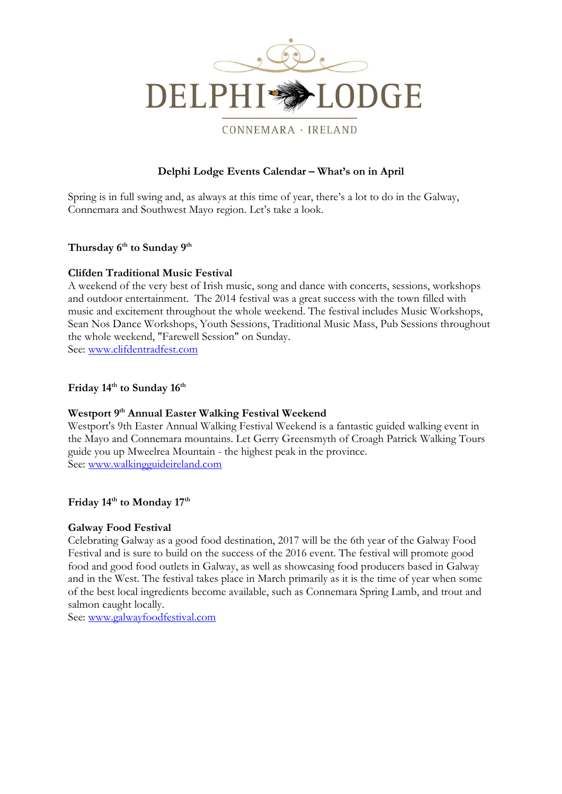

#### CONNEMARA · IRELAND

# **Delphi Lodge Events Calendar – What's on in April**

Spring is in full swing and, as always at this time of year, there's a lot to do in the Galway, Connemara and Southwest Mayo region. Let's take a look.

# **Thursday 6th to Sunday 9th**

#### **Clifden Traditional Music Festival**

A weekend of the very best of Irish music, song and dance with concerts, sessions, workshops and outdoor entertainment. The 2014 festival was a great success with the town filled with music and excitement throughout the whole weekend. The festival includes Music Workshops, Sean Nos Dance Workshops, Youth Sessions, Traditional Music Mass, Pub Sessions throughout the whole weekend, "Farewell Session" on Sunday. See: [www.clifdentradfest.com](http://www.clifdentradfest.com/)

# **Friday 14th to Sunday 16th**

#### **Westport 9th Annual Easter Walking Festival Weekend**

Westport's 9th Easter Annual Walking Festival Weekend is a fantastic guided walking event in the Mayo and Connemara mountains. Let Gerry Greensmyth of Croagh Patrick Walking Tours guide you up Mweelrea Mountain - the highest peak in the province. See: [www.walkingguideireland.com](http://www.walkingguideireland.com/)

#### **Friday 14th to Monday 17th**

#### **Galway Food Festival**

Celebrating Galway as a good food destination, 2017 will be the 6th year of the Galway Food Festival and is sure to build on the success of the 2016 event. The festival will promote good food and good food outlets in Galway, as well as showcasing food producers based in Galway and in the West. The festival takes place in March primarily as it is the time of year when some of the best local ingredients become available, such as Connemara Spring Lamb, and trout and salmon caught locally.

See: [www.galwayfoodfestival.com](http://www.galwayfoodfestival.com/)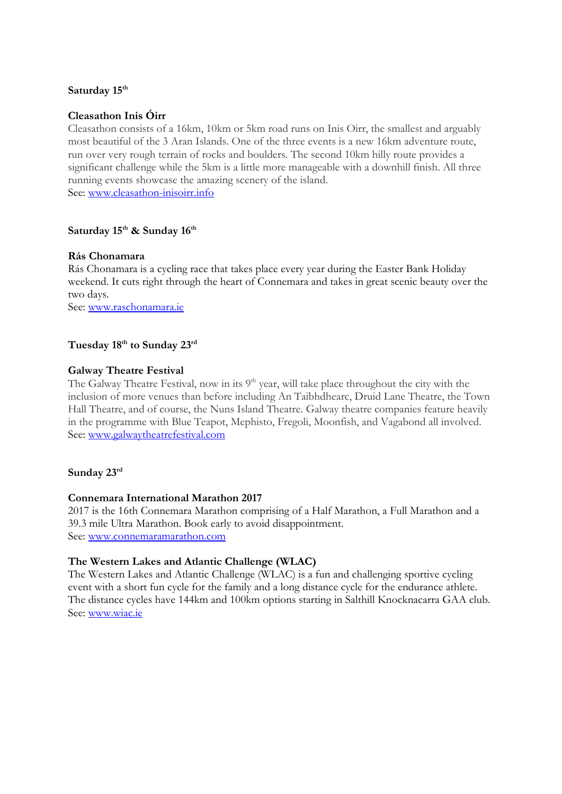## **Saturday 15th**

# **Cleasathon Inis Óirr**

Cleasathon consists of a 16km, 10km or 5km road runs on Inis Oirr, the smallest and arguably most beautiful of the 3 Aran Islands. One of the three events is a new 16km adventure route, run over very rough terrain of rocks and boulders. The second 10km hilly route provides a significant challenge while the 5km is a little more manageable with a downhill finish. All three running events showcase the amazing scenery of the island. See: [www.cleasathon-inisoirr.info](http://www.cleasathon-inisoirr.info/)

# **Saturday 15th & Sunday 16th**

## **Rás Chonamara**

Rás Chonamara is a cycling race that takes place every year during the Easter Bank Holiday weekend. It cuts right through the heart of Connemara and takes in great scenic beauty over the two days.

See: [www.raschonamara.ie](http://www.raschonamara.ie/)

## **Tuesday 18th to Sunday 23rd**

## **Galway Theatre Festival**

The Galway Theatre Festival, now in its  $9<sup>th</sup>$  year, will take place throughout the city with the inclusion of more venues than before including An Taibhdhearc, Druid Lane Theatre, the Town Hall Theatre, and of course, the Nuns Island Theatre. Galway theatre companies feature heavily in the programme with Blue Teapot, Mephisto, Fregoli, Moonfish, and Vagabond all involved. See: [www.galwaytheatrefestival.com](http://www.galwaytheatrefestival.com/)

## **Sunday 23rd**

## **Connemara International Marathon 2017**

2017 is the 16th Connemara Marathon comprising of a Half Marathon, a Full Marathon and a 39.3 mile Ultra Marathon. Book early to avoid disappointment. See: [www.connemaramarathon.com](http://www.connemaramarathon.com/)

## **The Western Lakes and Atlantic Challenge (WLAC)**

The Western Lakes and Atlantic Challenge (WLAC) is a fun and challenging sportive cycling event with a short fun cycle for the family and a long distance cycle for the endurance athlete. The distance cycles have 144km and 100km options starting in Salthill Knocknacarra GAA club. See: [www.wiac.ie](http://www.wiac.ie/)